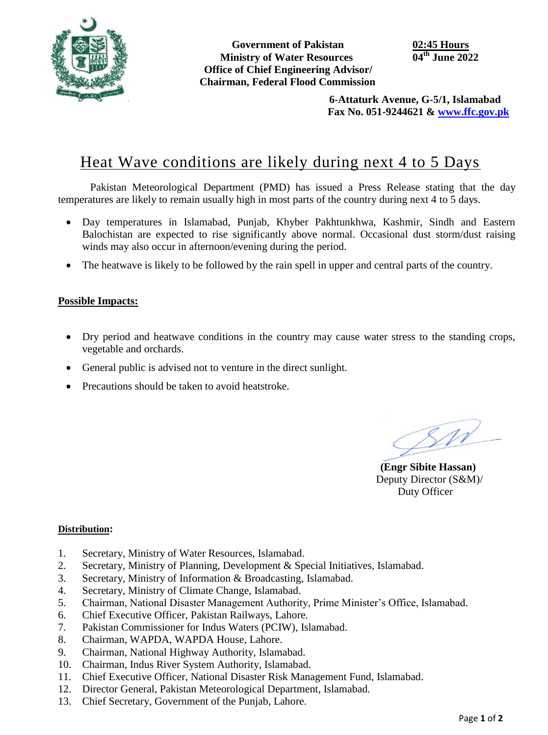

**Government of Pakistan 02:45 Hours Ministry of Water Resources Office of Chief Engineering Advisor/ Chairman, Federal Flood Commission**

 **6-Attaturk Avenue, G-5/1, Islamabad Fax No. 051-9244621 & [www.ffc.gov.pk](http://www.ffc.gov.pk/)**

## Heat Wave conditions are likely during next 4 to 5 Days

Pakistan Meteorological Department (PMD) has issued a Press Release stating that the day temperatures are likely to remain usually high in most parts of the country during next 4 to 5 days.

- Day temperatures in Islamabad, Punjab, Khyber Pakhtunkhwa, Kashmir, Sindh and Eastern Balochistan are expected to rise significantly above normal. Occasional dust storm/dust raising winds may also occur in afternoon/evening during the period.
- The heatwave is likely to be followed by the rain spell in upper and central parts of the country.

## **Possible Impacts:**

- Dry period and heatwave conditions in the country may cause water stress to the standing crops, vegetable and orchards.
- General public is advised not to venture in the direct sunlight.
- Precautions should be taken to avoid heatstroke.

 $\mathcal{S}M$ 

**(Engr Sibite Hassan)** Deputy Director (S&M)/ Duty Officer

## **Distribution:**

- 1. Secretary, Ministry of Water Resources, Islamabad.
- 2. Secretary, Ministry of Planning, Development & Special Initiatives, Islamabad.
- 3. Secretary, Ministry of Information & Broadcasting, Islamabad.
- 4. Secretary, Ministry of Climate Change, Islamabad.
- 5. Chairman, National Disaster Management Authority, Prime Minister's Office, Islamabad.
- 6. Chief Executive Officer, Pakistan Railways, Lahore.
- 7. Pakistan Commissioner for Indus Waters (PCIW), Islamabad.
- 8. Chairman, WAPDA, WAPDA House, Lahore.
- 9. Chairman, National Highway Authority, Islamabad.
- 10. Chairman, Indus River System Authority, Islamabad.
- 11. Chief Executive Officer, National Disaster Risk Management Fund, Islamabad.
- 12. Director General, Pakistan Meteorological Department, Islamabad.
- 13. Chief Secretary, Government of the Punjab, Lahore.